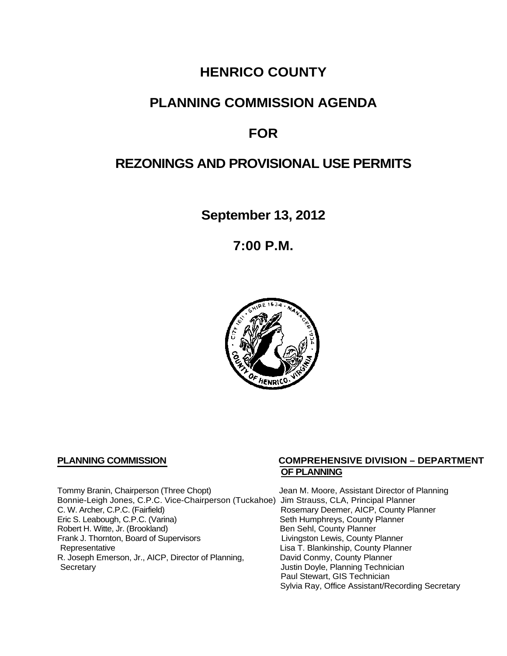## **HENRICO COUNTY**

## **PLANNING COMMISSION AGENDA**

# **FOR**

# **REZONINGS AND PROVISIONAL USE PERMITS**

**September 13, 2012**

**7:00 P.M.**



Tommy Branin, Chairperson (Three Chopt) Jean M. Moore, Assistant Director of Planning Bonnie-Leigh Jones, C.P.C. Vice-Chairperson (Tuckahoe) Jim Strauss, CLA, Principal Planner C. W. Archer, C.P.C. (Fairfield) <br>
Eric S. Leabough, C.P.C. (Varina) 
Rosemary Deemer, AICP, County Planner<br>
Seth Humphreys, County Planner Robert H. Witte, Jr. (Brookland)<br>
Frank J. Thornton, Board of Supervisors<br>
Eivingston Lewis, County Planner Frank J. Thornton, Board of Supervisors<br>Representative R. Joseph Emerson, Jr., AICP, Director of Planning, Secretary

### **PLANNING COMMISSION COMPREHENSIVE DIVISION – DEPARTMENT OF PLANNING**

Seth Humphreys, County Planner<br>Ben Sehl, County Planner Lisa T. Blankinship, County Planner<br>David Conmy, County Planner Justin Doyle, Planning Technician Paul Stewart, GIS Technician Sylvia Ray, Office Assistant/Recording Secretary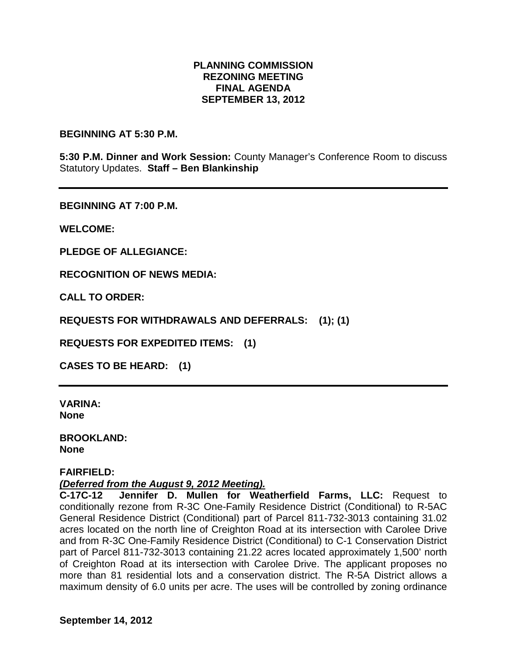## **PLANNING COMMISSION REZONING MEETING FINAL AGENDA SEPTEMBER 13, 2012**

#### **BEGINNING AT 5:30 P.M.**

**5:30 P.M. Dinner and Work Session:** County Manager's Conference Room to discuss Statutory Updates. **Staff – Ben Blankinship**

**BEGINNING AT 7:00 P.M.**

**WELCOME:**

**PLEDGE OF ALLEGIANCE:**

**RECOGNITION OF NEWS MEDIA:**

**CALL TO ORDER:**

**REQUESTS FOR WITHDRAWALS AND DEFERRALS: (1); (1)**

**REQUESTS FOR EXPEDITED ITEMS: (1)**

**CASES TO BE HEARD: (1)**

**VARINA: None**

**BROOKLAND: None**

#### **FAIRFIELD:**

#### *(Deferred from the August 9, 2012 Meeting).*

**C-17C-12 Jennifer D. Mullen for Weatherfield Farms, LLC:** Request to conditionally rezone from R-3C One-Family Residence District (Conditional) to R-5AC General Residence District (Conditional) part of Parcel 811-732-3013 containing 31.02 acres located on the north line of Creighton Road at its intersection with Carolee Drive and from R-3C One-Family Residence District (Conditional) to C-1 Conservation District part of Parcel 811-732-3013 containing 21.22 acres located approximately 1,500' north of Creighton Road at its intersection with Carolee Drive. The applicant proposes no more than 81 residential lots and a conservation district. The R-5A District allows a maximum density of 6.0 units per acre. The uses will be controlled by zoning ordinance

**September 14, 2012**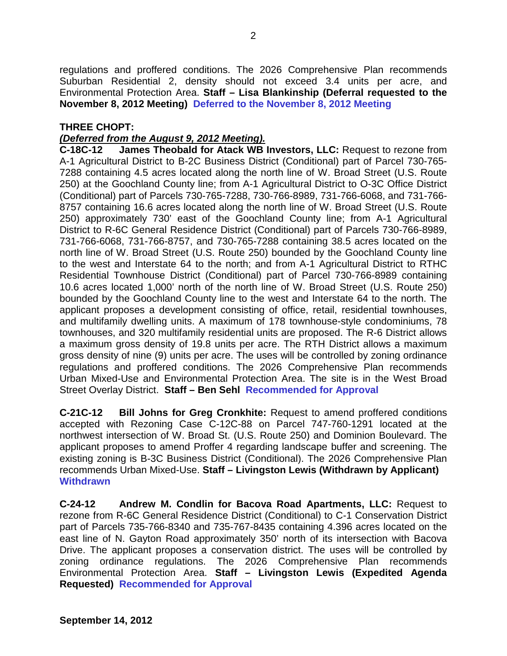regulations and proffered conditions. The 2026 Comprehensive Plan recommends Suburban Residential 2, density should not exceed 3.4 units per acre, and Environmental Protection Area. **Staff – Lisa Blankinship (Deferral requested to the November 8, 2012 Meeting) Deferred to the November 8, 2012 Meeting**

### **THREE CHOPT:**

## *(Deferred from the August 9, 2012 Meeting).*

**C-18C-12 James Theobald for Atack WB Investors, LLC:** Request to rezone from A-1 Agricultural District to B-2C Business District (Conditional) part of Parcel 730-765- 7288 containing 4.5 acres located along the north line of W. Broad Street (U.S. Route 250) at the Goochland County line; from A-1 Agricultural District to O-3C Office District (Conditional) part of Parcels 730-765-7288, 730-766-8989, 731-766-6068, and 731-766- 8757 containing 16.6 acres located along the north line of W. Broad Street (U.S. Route 250) approximately 730' east of the Goochland County line; from A-1 Agricultural District to R-6C General Residence District (Conditional) part of Parcels 730-766-8989, 731-766-6068, 731-766-8757, and 730-765-7288 containing 38.5 acres located on the north line of W. Broad Street (U.S. Route 250) bounded by the Goochland County line to the west and Interstate 64 to the north; and from A-1 Agricultural District to RTHC Residential Townhouse District (Conditional) part of Parcel 730-766-8989 containing 10.6 acres located 1,000' north of the north line of W. Broad Street (U.S. Route 250) bounded by the Goochland County line to the west and Interstate 64 to the north. The applicant proposes a development consisting of office, retail, residential townhouses, and multifamily dwelling units. A maximum of 178 townhouse-style condominiums, 78 townhouses, and 320 multifamily residential units are proposed. The R-6 District allows a maximum gross density of 19.8 units per acre. The RTH District allows a maximum gross density of nine (9) units per acre. The uses will be controlled by zoning ordinance regulations and proffered conditions. The 2026 Comprehensive Plan recommends Urban Mixed-Use and Environmental Protection Area. The site is in the West Broad Street Overlay District. **Staff – Ben Sehl Recommended for Approval**

**C-21C-12 Bill Johns for Greg Cronkhite:** Request to amend proffered conditions accepted with Rezoning Case C-12C-88 on Parcel 747-760-1291 located at the northwest intersection of W. Broad St. (U.S. Route 250) and Dominion Boulevard. The applicant proposes to amend Proffer 4 regarding landscape buffer and screening. The existing zoning is B-3C Business District (Conditional). The 2026 Comprehensive Plan recommends Urban Mixed-Use. **Staff – Livingston Lewis (Withdrawn by Applicant) Withdrawn**

**C-24-12 Andrew M. Condlin for Bacova Road Apartments, LLC:** Request to rezone from R-6C General Residence District (Conditional) to C-1 Conservation District part of Parcels 735-766-8340 and 735-767-8435 containing 4.396 acres located on the east line of N. Gayton Road approximately 350' north of its intersection with Bacova Drive. The applicant proposes a conservation district. The uses will be controlled by zoning ordinance regulations. The 2026 Comprehensive Plan recommends Environmental Protection Area. **Staff – Livingston Lewis (Expedited Agenda Requested) Recommended for Approval**